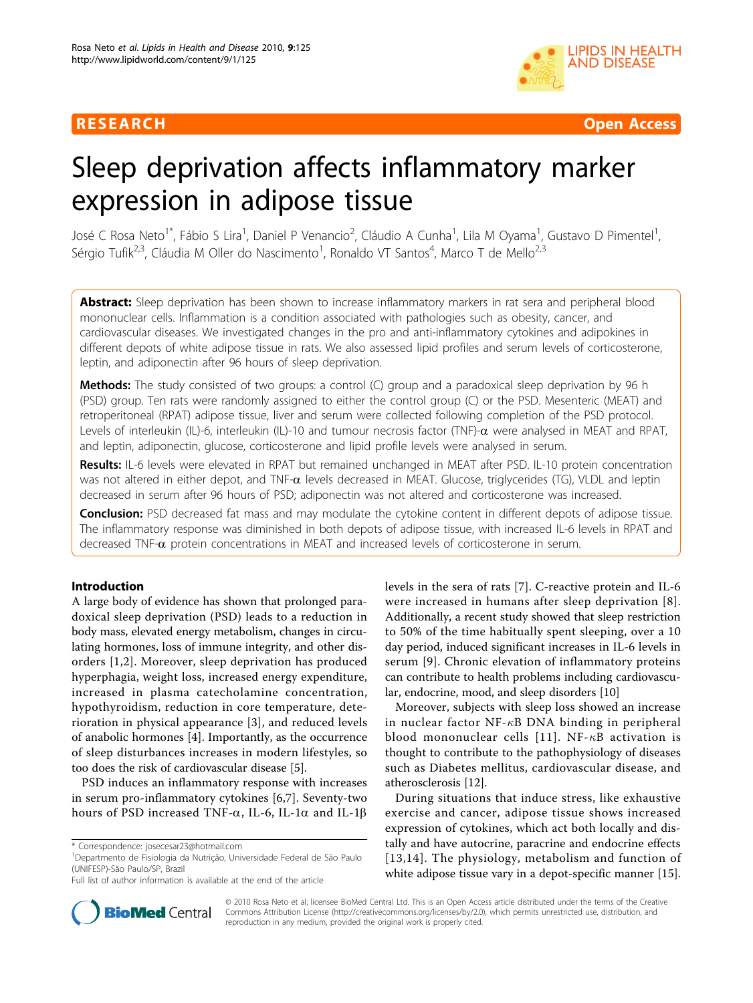# RESEARCH **Open Access**



# Sleep deprivation affects inflammatory marker expression in adipose tissue

José C Rosa Neto<sup>1\*</sup>, Fábio S Lira<sup>1</sup>, Daniel P Venancio<sup>2</sup>, Cláudio A Cunha<sup>1</sup>, Lila M Oyama<sup>1</sup>, Gustavo D Pimentel<sup>1</sup> , Sérgio Tufik<sup>2,3</sup>, Cláudia M Oller do Nascimento<sup>1</sup>, Ronaldo VT Santos<sup>4</sup>, Marco T de Mello<sup>2,3</sup>

Abstract: Sleep deprivation has been shown to increase inflammatory markers in rat sera and peripheral blood mononuclear cells. Inflammation is a condition associated with pathologies such as obesity, cancer, and cardiovascular diseases. We investigated changes in the pro and anti-inflammatory cytokines and adipokines in different depots of white adipose tissue in rats. We also assessed lipid profiles and serum levels of corticosterone, leptin, and adiponectin after 96 hours of sleep deprivation.

**Methods:** The study consisted of two groups: a control (C) group and a paradoxical sleep deprivation by 96 h (PSD) group. Ten rats were randomly assigned to either the control group (C) or the PSD. Mesenteric (MEAT) and retroperitoneal (RPAT) adipose tissue, liver and serum were collected following completion of the PSD protocol. Levels of interleukin (IL)-6, interleukin (IL)-10 and tumour necrosis factor (TNF)- $\alpha$  were analysed in MEAT and RPAT, and leptin, adiponectin, glucose, corticosterone and lipid profile levels were analysed in serum.

Results: IL-6 levels were elevated in RPAT but remained unchanged in MEAT after PSD. IL-10 protein concentration was not altered in either depot, and TNF- $\alpha$  levels decreased in MEAT. Glucose, triglycerides (TG), VLDL and leptin decreased in serum after 96 hours of PSD; adiponectin was not altered and corticosterone was increased.

**Conclusion:** PSD decreased fat mass and may modulate the cytokine content in different depots of adipose tissue. The inflammatory response was diminished in both depots of adipose tissue, with increased IL-6 levels in RPAT and decreased TNF-a protein concentrations in MEAT and increased levels of corticosterone in serum.

# Introduction

A large body of evidence has shown that prolonged paradoxical sleep deprivation (PSD) leads to a reduction in body mass, elevated energy metabolism, changes in circulating hormones, loss of immune integrity, and other disorders [[1](#page-4-0),[2\]](#page-4-0). Moreover, sleep deprivation has produced hyperphagia, weight loss, increased energy expenditure, increased in plasma catecholamine concentration, hypothyroidism, reduction in core temperature, deterioration in physical appearance [[3\]](#page-4-0), and reduced levels of anabolic hormones [[4](#page-4-0)]. Importantly, as the occurrence of sleep disturbances increases in modern lifestyles, so too does the risk of cardiovascular disease [[5\]](#page-4-0).

PSD induces an inflammatory response with increases in serum pro-inflammatory cytokines [[6,7](#page-4-0)]. Seventy-two hours of PSD increased TNF- $\alpha$ , IL-6, IL-1 $\alpha$  and IL-1 $\beta$ 



Moreover, subjects with sleep loss showed an increase in nuclear factor  $NF-\kappa B$  DNA binding in peripheral blood mononuclear cells [[11\]](#page-4-0). NF- $\kappa$ B activation is thought to contribute to the pathophysiology of diseases such as Diabetes mellitus, cardiovascular disease, and atherosclerosis [\[12](#page-4-0)].

During situations that induce stress, like exhaustive exercise and cancer, adipose tissue shows increased expression of cytokines, which act both locally and distally and have autocrine, paracrine and endocrine effects [[13,14](#page-4-0)]. The physiology, metabolism and function of white adipose tissue vary in a depot-specific manner [[15](#page-4-0)].



© 2010 Rosa Neto et al; licensee BioMed Central Ltd. This is an Open Access article distributed under the terms of the Creative Commons Attribution License [\(http://creativecommons.org/licenses/by/2.0](http://creativecommons.org/licenses/by/2.0)), which permits unrestricted use, distribution, and reproduction in any medium, provided the original work is properly cited.

<sup>\*</sup> Correspondence: [josecesar23@hotmail.com](mailto:josecesar23@hotmail.com)

<sup>&</sup>lt;sup>1</sup>Departmento de Fisiologia da Nutrição, Universidade Federal de São Paulo (UNIFESP)-São Paulo/SP, Brazil

Full list of author information is available at the end of the article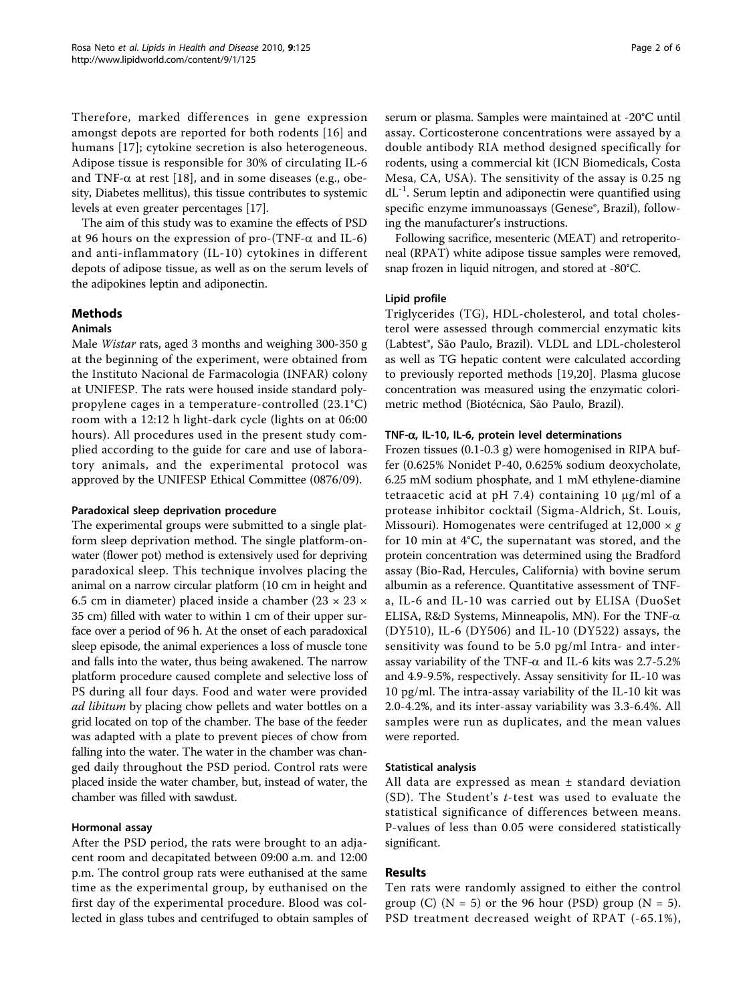Therefore, marked differences in gene expression amongst depots are reported for both rodents [[16\]](#page-4-0) and humans [[17](#page-4-0)]; cytokine secretion is also heterogeneous. Adipose tissue is responsible for 30% of circulating IL-6 and TNF- $\alpha$  at rest [[18](#page-4-0)], and in some diseases (e.g., obesity, Diabetes mellitus), this tissue contributes to systemic levels at even greater percentages [[17](#page-4-0)].

The aim of this study was to examine the effects of PSD at 96 hours on the expression of pro-(TNF- $\alpha$  and IL-6) and anti-inflammatory (IL-10) cytokines in different depots of adipose tissue, as well as on the serum levels of the adipokines leptin and adiponectin.

# Methods

# Animals

Male Wistar rats, aged 3 months and weighing 300-350 g at the beginning of the experiment, were obtained from the Instituto Nacional de Farmacologia (INFAR) colony at UNIFESP. The rats were housed inside standard polypropylene cages in a temperature-controlled (23.1°C) room with a 12:12 h light-dark cycle (lights on at 06:00 hours). All procedures used in the present study complied according to the guide for care and use of laboratory animals, and the experimental protocol was approved by the UNIFESP Ethical Committee (0876/09).

### Paradoxical sleep deprivation procedure

The experimental groups were submitted to a single platform sleep deprivation method. The single platform-onwater (flower pot) method is extensively used for depriving paradoxical sleep. This technique involves placing the animal on a narrow circular platform (10 cm in height and 6.5 cm in diameter) placed inside a chamber  $(23 \times 23 \times$ 35 cm) filled with water to within 1 cm of their upper surface over a period of 96 h. At the onset of each paradoxical sleep episode, the animal experiences a loss of muscle tone and falls into the water, thus being awakened. The narrow platform procedure caused complete and selective loss of PS during all four days. Food and water were provided *ad libitum* by placing chow pellets and water bottles on a grid located on top of the chamber. The base of the feeder was adapted with a plate to prevent pieces of chow from falling into the water. The water in the chamber was changed daily throughout the PSD period. Control rats were placed inside the water chamber, but, instead of water, the chamber was filled with sawdust.

# Hormonal assay

After the PSD period, the rats were brought to an adjacent room and decapitated between 09:00 a.m. and 12:00 p.m. The control group rats were euthanised at the same time as the experimental group, by euthanised on the first day of the experimental procedure. Blood was collected in glass tubes and centrifuged to obtain samples of serum or plasma. Samples were maintained at -20°C until assay. Corticosterone concentrations were assayed by a double antibody RIA method designed specifically for rodents, using a commercial kit (ICN Biomedicals, Costa Mesa, CA, USA). The sensitivity of the assay is 0.25 ng  $dL^{-1}$ . Serum leptin and adiponectin were quantified using specific enzyme immunoassays (Genese®, Brazil), following the manufacturer's instructions.

Following sacrifice, mesenteric (MEAT) and retroperitoneal (RPAT) white adipose tissue samples were removed, snap frozen in liquid nitrogen, and stored at -80°C.

## Lipid profile

Triglycerides (TG), HDL-cholesterol, and total cholesterol were assessed through commercial enzymatic kits (Labtest®, São Paulo, Brazil). VLDL and LDL-cholesterol as well as TG hepatic content were calculated according to previously reported methods [[19,20](#page-4-0)]. Plasma glucose concentration was measured using the enzymatic colorimetric method (Biotécnica, São Paulo, Brazil).

### TNF- $\alpha$ , IL-10, IL-6, protein level determinations

Frozen tissues (0.1-0.3 g) were homogenised in RIPA buffer (0.625% Nonidet P-40, 0.625% sodium deoxycholate, 6.25 mM sodium phosphate, and 1 mM ethylene-diamine tetraacetic acid at pH 7.4) containing 10 μg/ml of a protease inhibitor cocktail (Sigma-Aldrich, St. Louis, Missouri). Homogenates were centrifuged at  $12,000 \times g$ for 10 min at 4°C, the supernatant was stored, and the protein concentration was determined using the Bradford assay (Bio-Rad, Hercules, California) with bovine serum albumin as a reference. Quantitative assessment of TNFa, IL-6 and IL-10 was carried out by ELISA (DuoSet ELISA, R&D Systems, Minneapolis, MN). For the TNF- $\alpha$ (DY510), IL-6 (DY506) and IL-10 (DY522) assays, the sensitivity was found to be 5.0 pg/ml Intra- and interassay variability of the TNF- $\alpha$  and IL-6 kits was 2.7-5.2% and 4.9-9.5%, respectively. Assay sensitivity for IL-10 was 10 pg/ml. The intra-assay variability of the IL-10 kit was 2.0-4.2%, and its inter-assay variability was 3.3-6.4%. All samples were run as duplicates, and the mean values were reported.

### Statistical analysis

All data are expressed as mean ± standard deviation (SD). The Student's t-test was used to evaluate the statistical significance of differences between means. P-values of less than 0.05 were considered statistically significant.

# Results

Ten rats were randomly assigned to either the control group (C) ( $N = 5$ ) or the 96 hour (PSD) group ( $N = 5$ ). PSD treatment decreased weight of RPAT (-65.1%),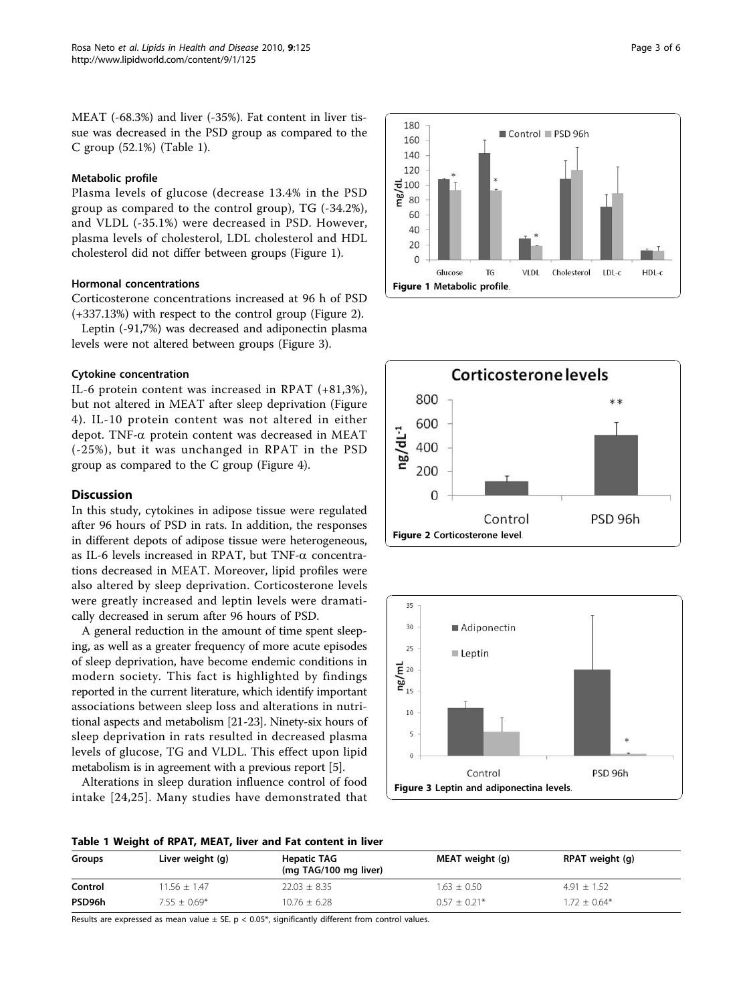MEAT (-68.3%) and liver (-35%). Fat content in liver tissue was decreased in the PSD group as compared to the C group (52.1%) (Table 1).

### Metabolic profile

Plasma levels of glucose (decrease 13.4% in the PSD group as compared to the control group), TG (-34.2%), and VLDL (-35.1%) were decreased in PSD. However, plasma levels of cholesterol, LDL cholesterol and HDL cholesterol did not differ between groups (Figure 1).

# Hormonal concentrations

Corticosterone concentrations increased at 96 h of PSD (+337.13%) with respect to the control group (Figure 2).

Leptin (-91,7%) was decreased and adiponectin plasma levels were not altered between groups (Figure 3).

#### Cytokine concentration

IL-6 protein content was increased in RPAT (+81,3%), but not altered in MEAT after sleep deprivation (Figure [4](#page-3-0)). IL-10 protein content was not altered in either depot. TNF- $\alpha$  protein content was decreased in MEAT (-25%), but it was unchanged in RPAT in the PSD group as compared to the C group (Figure [4](#page-3-0)).

### **Discussion**

In this study, cytokines in adipose tissue were regulated after 96 hours of PSD in rats. In addition, the responses in different depots of adipose tissue were heterogeneous, as IL-6 levels increased in RPAT, but TNF- $\alpha$  concentrations decreased in MEAT. Moreover, lipid profiles were also altered by sleep deprivation. Corticosterone levels were greatly increased and leptin levels were dramatically decreased in serum after 96 hours of PSD.

A general reduction in the amount of time spent sleeping, as well as a greater frequency of more acute episodes of sleep deprivation, have become endemic conditions in modern society. This fact is highlighted by findings reported in the current literature, which identify important associations between sleep loss and alterations in nutritional aspects and metabolism [[21-23\]](#page-4-0). Ninety-six hours of sleep deprivation in rats resulted in decreased plasma levels of glucose, TG and VLDL. This effect upon lipid metabolism is in agreement with a previous report [\[5\]](#page-4-0).

Alterations in sleep duration influence control of food intake [[24](#page-4-0),[25](#page-4-0)]. Many studies have demonstrated that







#### Table 1 Weight of RPAT, MEAT, liver and Fat content in liver

| Groups  | Liver weight (g) | <b>Hepatic TAG</b><br>(mg TAG/100 mg liver) | MEAT weight (g) | RPAT weight (g) |
|---------|------------------|---------------------------------------------|-----------------|-----------------|
| Control | $11.56 \pm 1.47$ | $22.03 \pm 8.35$                            | $1.63 \pm 0.50$ | $4.91 \pm 1.52$ |
| PSD96h  | $7.55 \pm 0.69*$ | $10.76 \pm 6.28$                            | $0.57 + 0.21*$  | $1.72 + 0.64*$  |

Results are expressed as mean value  $\pm$  SE. p < 0.05\*, significantly different from control values.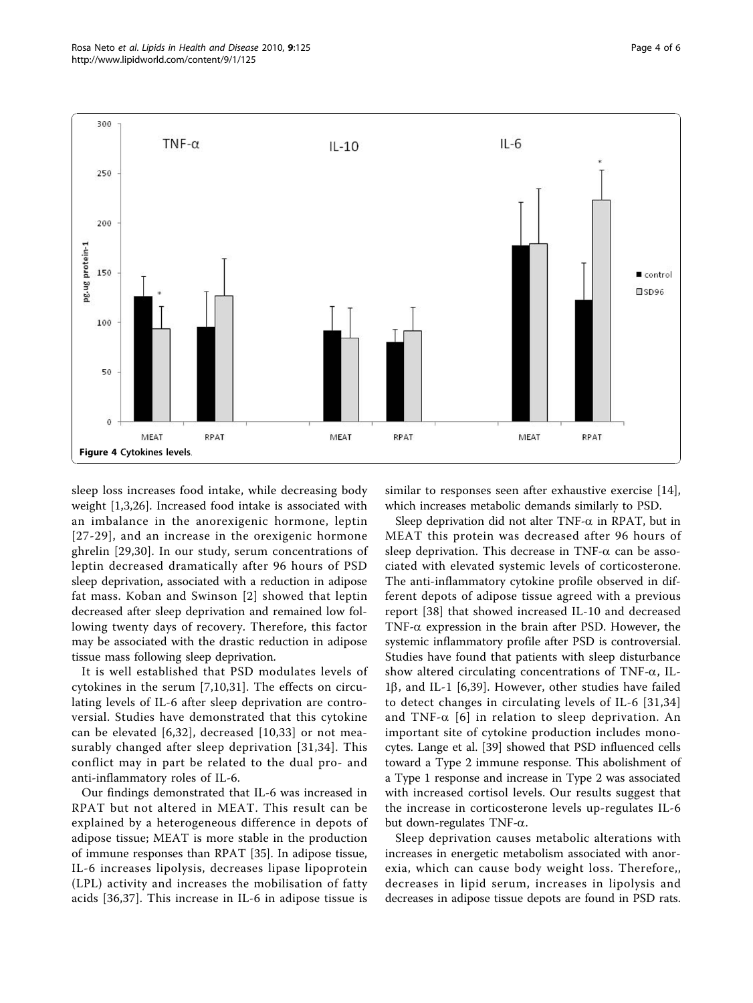<span id="page-3-0"></span>

sleep loss increases food intake, while decreasing body weight [[1,3,26\]](#page-4-0). Increased food intake is associated with an imbalance in the anorexigenic hormone, leptin [[27-29\]](#page-4-0), and an increase in the orexigenic hormone ghrelin [[29,30\]](#page-4-0). In our study, serum concentrations of leptin decreased dramatically after 96 hours of PSD sleep deprivation, associated with a reduction in adipose fat mass. Koban and Swinson [[2\]](#page-4-0) showed that leptin decreased after sleep deprivation and remained low following twenty days of recovery. Therefore, this factor may be associated with the drastic reduction in adipose tissue mass following sleep deprivation.

It is well established that PSD modulates levels of cytokines in the serum [[7,10,31\]](#page-4-0). The effects on circulating levels of IL-6 after sleep deprivation are controversial. Studies have demonstrated that this cytokine can be elevated [[6](#page-4-0),[32](#page-4-0)], decreased [[10](#page-4-0),[33](#page-5-0)] or not measurably changed after sleep deprivation [\[31,](#page-4-0)[34\]](#page-5-0). This conflict may in part be related to the dual pro- and anti-inflammatory roles of IL-6.

Our findings demonstrated that IL-6 was increased in RPAT but not altered in MEAT. This result can be explained by a heterogeneous difference in depots of adipose tissue; MEAT is more stable in the production of immune responses than RPAT [\[35\]](#page-5-0). In adipose tissue, IL-6 increases lipolysis, decreases lipase lipoprotein (LPL) activity and increases the mobilisation of fatty acids [[36,37](#page-5-0)]. This increase in IL-6 in adipose tissue is

similar to responses seen after exhaustive exercise [\[14](#page-4-0)], which increases metabolic demands similarly to PSD.

Sleep deprivation did not alter  $TNF-\alpha$  in RPAT, but in MEAT this protein was decreased after 96 hours of sleep deprivation. This decrease in TNF- $\alpha$  can be associated with elevated systemic levels of corticosterone. The anti-inflammatory cytokine profile observed in different depots of adipose tissue agreed with a previous report [[38\]](#page-5-0) that showed increased IL-10 and decreased TNF- $\alpha$  expression in the brain after PSD. However, the systemic inflammatory profile after PSD is controversial. Studies have found that patients with sleep disturbance show altered circulating concentrations of TNF- $\alpha$ , IL- $1\beta$ , and IL-1 [[6,](#page-4-0)[39](#page-5-0)]. However, other studies have failed to detect changes in circulating levels of IL-6 [[31,](#page-4-0)[34](#page-5-0)] and TNF- $\alpha$  [[6](#page-4-0)] in relation to sleep deprivation. An important site of cytokine production includes monocytes. Lange et al. [\[39](#page-5-0)] showed that PSD influenced cells toward a Type 2 immune response. This abolishment of a Type 1 response and increase in Type 2 was associated with increased cortisol levels. Our results suggest that the increase in corticosterone levels up-regulates IL-6 but down-regulates TNF- $\alpha$ .

Sleep deprivation causes metabolic alterations with increases in energetic metabolism associated with anorexia, which can cause body weight loss. Therefore,, decreases in lipid serum, increases in lipolysis and decreases in adipose tissue depots are found in PSD rats.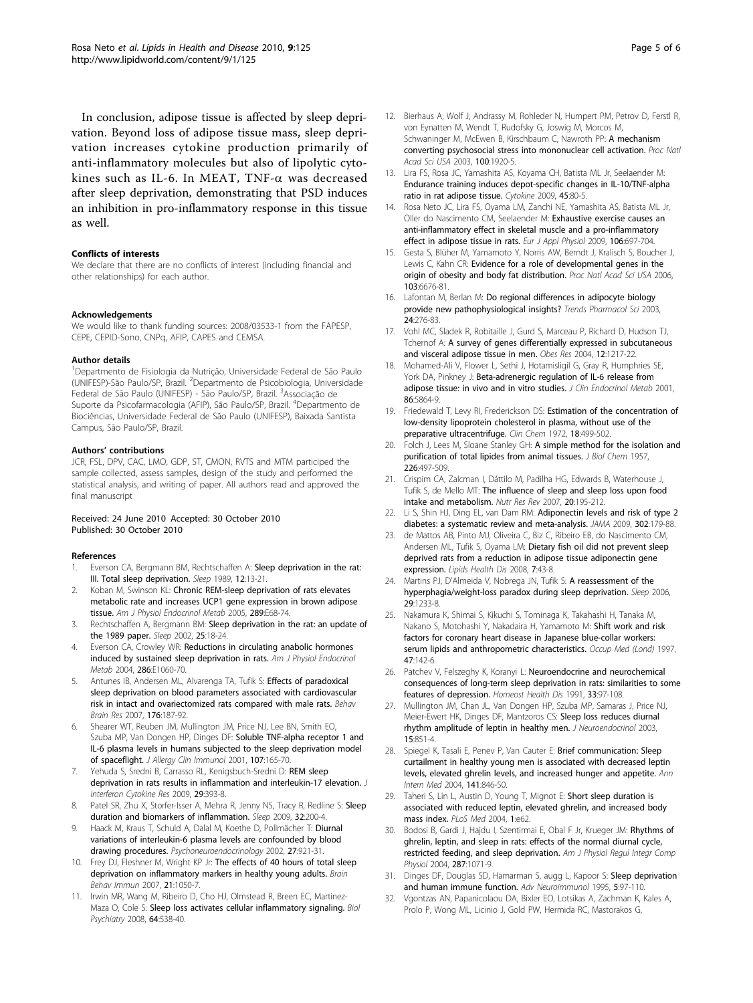<span id="page-4-0"></span>In conclusion, adipose tissue is affected by sleep deprivation. Beyond loss of adipose tissue mass, sleep deprivation increases cytokine production primarily of anti-inflammatory molecules but also of lipolytic cytokines such as IL-6. In MEAT, TNF-a was decreased after sleep deprivation, demonstrating that PSD induces an inhibition in pro-inflammatory response in this tissue as well.

#### Conflicts of interests

We declare that there are no conflicts of interest (including financial and other relationships) for each author.

#### Acknowledgements

We would like to thank funding sources: 2008/03533-1 from the FAPESP, CEPE, CEPID-Sono, CNPq, AFIP, CAPES and CEMSA.

#### Author details

<sup>1</sup>Departmento de Fisiologia da Nutrição, Universidade Federal de São Paulo (UNIFESP)-São Paulo/SP, Brazil. <sup>2</sup>Departmento de Psicobiologia, Universidade Federal de São Paulo (UNIFESP) - São Paulo/SP, Brazil. <sup>3</sup>Associação de Suporte da Psicofarmacologia (AFIP), São Paulo/SP, Brazil. <sup>4</sup>Departmento de Biociências, Universidade Federal de São Paulo (UNIFESP), Baixada Santista Campus, São Paulo/SP, Brazil.

#### Authors' contributions

JCR, FSL, DPV, CAC, LMO, GDP, ST, CMON, RVTS and MTM participed the sample collected, assess samples, design of the study and performed the statistical analysis, and writing of paper. All authors read and approved the final manuscript

#### Received: 24 June 2010 Accepted: 30 October 2010 Published: 30 October 2010

#### References

- 1. Everson CA, Bergmann BM, Rechtschaffen A: [Sleep deprivation in the rat:](http://www.ncbi.nlm.nih.gov/pubmed/2928622?dopt=Abstract) [III. Total sleep deprivation.](http://www.ncbi.nlm.nih.gov/pubmed/2928622?dopt=Abstract) Sleep 1989, 12:13-21.
- 2. Koban M, Swinson KL: [Chronic REM-sleep deprivation of rats elevates](http://www.ncbi.nlm.nih.gov/pubmed/15727948?dopt=Abstract) [metabolic rate and increases UCP1 gene expression in brown adipose](http://www.ncbi.nlm.nih.gov/pubmed/15727948?dopt=Abstract) [tissue.](http://www.ncbi.nlm.nih.gov/pubmed/15727948?dopt=Abstract) Am J Physiol Endocrinol Metab 2005, 289:E68-74.
- Rechtschaffen A, Bergmann BM: [Sleep deprivation in the rat: an update of](http://www.ncbi.nlm.nih.gov/pubmed/11833856?dopt=Abstract) [the 1989 paper.](http://www.ncbi.nlm.nih.gov/pubmed/11833856?dopt=Abstract) Sleep 2002, 25:18-24.
- Everson CA, Crowley WR: [Reductions in circulating anabolic hormones](http://www.ncbi.nlm.nih.gov/pubmed/14871886?dopt=Abstract) [induced by sustained sleep deprivation in rats.](http://www.ncbi.nlm.nih.gov/pubmed/14871886?dopt=Abstract) Am J Physiol Endocrinol Metab 2004, 286:E1060-70.
- Antunes IB, Andersen ML, Alvarenga TA, Tufik S: [Effects of paradoxical](http://www.ncbi.nlm.nih.gov/pubmed/17113164?dopt=Abstract) [sleep deprivation on blood parameters associated with cardiovascular](http://www.ncbi.nlm.nih.gov/pubmed/17113164?dopt=Abstract) [risk in intact and ovariectomized rats compared with male rats.](http://www.ncbi.nlm.nih.gov/pubmed/17113164?dopt=Abstract) Behav Brain Res 2007, 176:187-92.
- 6. Shearer WT, Reuben JM, Mullington JM, Price NJ, Lee BN, Smith EO, Szuba MP, Van Dongen HP, Dinges DF: [Soluble TNF-alpha receptor 1 and](http://www.ncbi.nlm.nih.gov/pubmed/11150007?dopt=Abstract) [IL-6 plasma levels in humans subjected to the sleep deprivation model](http://www.ncbi.nlm.nih.gov/pubmed/11150007?dopt=Abstract) [of spaceflight.](http://www.ncbi.nlm.nih.gov/pubmed/11150007?dopt=Abstract) J Allergy Clin Immunol 2001, 107:165-70.
- Yehuda S, Sredni B, Carrasso RL, Kenigsbuch-Sredni D: [REM sleep](http://www.ncbi.nlm.nih.gov/pubmed/19450150?dopt=Abstract) [deprivation in rats results in inflammation and interleukin-17 elevation.](http://www.ncbi.nlm.nih.gov/pubmed/19450150?dopt=Abstract) J Interferon Cytokine Res 2009, 29:393-8.
- Patel SR, Zhu X, Storfer-Isser A, Mehra R, Jenny NS, Tracy R, Redline S: [Sleep](http://www.ncbi.nlm.nih.gov/pubmed/19238807?dopt=Abstract) [duration and biomarkers of inflammation.](http://www.ncbi.nlm.nih.gov/pubmed/19238807?dopt=Abstract) Sleep 2009, 32:200-4.
- Haack M, Kraus T, Schuld A, Dalal M, Koethe D, Pollmächer T: [Diurnal](http://www.ncbi.nlm.nih.gov/pubmed/12383453?dopt=Abstract) [variations of interleukin-6 plasma levels are confounded by blood](http://www.ncbi.nlm.nih.gov/pubmed/12383453?dopt=Abstract) [drawing procedures.](http://www.ncbi.nlm.nih.gov/pubmed/12383453?dopt=Abstract) Psychoneuroendocrinology 2002, 27:921-31.
- 10. Frey DJ, Fleshner M, Wright KP Jr: [The effects of 40 hours of total sleep](http://www.ncbi.nlm.nih.gov/pubmed/17524614?dopt=Abstract) [deprivation on inflammatory markers in healthy young adults.](http://www.ncbi.nlm.nih.gov/pubmed/17524614?dopt=Abstract) Brain Behav Immun 2007, 21:1050-7.
- 11. Irwin MR, Wang M, Ribeiro D, Cho HJ, Olmstead R, Breen EC, Martinez-Maza O, Cole S: [Sleep loss activates cellular inflammatory signaling.](http://www.ncbi.nlm.nih.gov/pubmed/18561896?dopt=Abstract) Biol Psychiatry 2008, 64:538-40.
- 12. Bierhaus A, Wolf J, Andrassy M, Rohleder N, Humpert PM, Petrov D, Ferstl R, von Eynatten M, Wendt T, Rudofsky G, Joswig M, Morcos M, Schwaninger M, McEwen B, Kirschbaum C, Nawroth PP: [A mechanism](http://www.ncbi.nlm.nih.gov/pubmed/12578963?dopt=Abstract) [converting psychosocial stress into mononuclear cell activation.](http://www.ncbi.nlm.nih.gov/pubmed/12578963?dopt=Abstract) Proc Natl Acad Sci USA 2003, 100:1920-5.
- 13. Lira FS, Rosa JC, Yamashita AS, Koyama CH, Batista ML Jr, Seelaender M: [Endurance training induces depot-specific changes in IL-10/TNF-alpha](http://www.ncbi.nlm.nih.gov/pubmed/19097804?dopt=Abstract) [ratio in rat adipose tissue.](http://www.ncbi.nlm.nih.gov/pubmed/19097804?dopt=Abstract) Cytokine 2009, 45:80-5.
- 14. Rosa Neto JC, Lira FS, Oyama LM, Zanchi NE, Yamashita AS, Batista ML Jr, Oller do Nascimento CM, Seelaender M: [Exhaustive exercise causes an](http://www.ncbi.nlm.nih.gov/pubmed/19424714?dopt=Abstract) [anti-inflammatory effect in skeletal muscle and a pro-inflammatory](http://www.ncbi.nlm.nih.gov/pubmed/19424714?dopt=Abstract) [effect in adipose tissue in rats.](http://www.ncbi.nlm.nih.gov/pubmed/19424714?dopt=Abstract) Eur J Appl Physiol 2009, 106:697-704.
- 15. Gesta S, Blüher M, Yamamoto Y, Norris AW, Berndt J, Kralisch S, Boucher J, Lewis C, Kahn CR: [Evidence for a role of developmental genes in the](http://www.ncbi.nlm.nih.gov/pubmed/16617105?dopt=Abstract) [origin of obesity and body fat distribution.](http://www.ncbi.nlm.nih.gov/pubmed/16617105?dopt=Abstract) Proc Natl Acad Sci USA 2006, 103:6676-81.
- 16. Lafontan M, Berlan M: [Do regional differences in adipocyte biology](http://www.ncbi.nlm.nih.gov/pubmed/12823953?dopt=Abstract) [provide new pathophysiological insights?](http://www.ncbi.nlm.nih.gov/pubmed/12823953?dopt=Abstract) Trends Pharmacol Sci 2003, 24:276-83.
- 17. Vohl MC, Sladek R, Robitaille J, Gurd S, Marceau P, Richard D, Hudson TJ, Tchernof A: [A survey of genes differentially expressed in subcutaneous](http://www.ncbi.nlm.nih.gov/pubmed/15340102?dopt=Abstract) [and visceral adipose tissue in men.](http://www.ncbi.nlm.nih.gov/pubmed/15340102?dopt=Abstract) Obes Res 2004, 12:1217-22.
- 18. Mohamed-Ali V, Flower L, Sethi J, Hotamisligil G, Gray R, Humphries SE, York DA, Pinkney J: [Beta-adrenergic regulation of IL-6 release from](http://www.ncbi.nlm.nih.gov/pubmed/11739453?dopt=Abstract) [adipose tissue: in vivo and in vitro studies.](http://www.ncbi.nlm.nih.gov/pubmed/11739453?dopt=Abstract) J Clin Endocrinol Metab 2001. 86:5864-9.
- 19. Friedewald T, Levy RI, Frederickson DS: [Estimation of the concentration of](http://www.ncbi.nlm.nih.gov/pubmed/4337382?dopt=Abstract) [low-density lipoprotein cholesterol in plasma, without use of the](http://www.ncbi.nlm.nih.gov/pubmed/4337382?dopt=Abstract) [preparative ultracentrifuge.](http://www.ncbi.nlm.nih.gov/pubmed/4337382?dopt=Abstract) Clin Chem 1972, 18:499-502.
- 20. Folch J, Lees M, Sloane Stanley GH: [A simple method for the isolation and](http://www.ncbi.nlm.nih.gov/pubmed/13428781?dopt=Abstract) [purification of total lipides from animal tissues.](http://www.ncbi.nlm.nih.gov/pubmed/13428781?dopt=Abstract) J Biol Chem 1957, 226:497-509.
- 21. Crispim CA, Zalcman I, Dáttilo M, Padilha HG, Edwards B, Waterhouse J, Tufik S, de Mello MT: [The influence of sleep and sleep loss upon food](http://www.ncbi.nlm.nih.gov/pubmed/19079870?dopt=Abstract) [intake and metabolism.](http://www.ncbi.nlm.nih.gov/pubmed/19079870?dopt=Abstract) Nutr Res Rev 2007, 20:195-212.
- 22. Li S, Shin HJ, Ding EL, van Dam RM: [Adiponectin levels and risk of type 2](http://www.ncbi.nlm.nih.gov/pubmed/19584347?dopt=Abstract) [diabetes: a systematic review and meta-analysis.](http://www.ncbi.nlm.nih.gov/pubmed/19584347?dopt=Abstract) JAMA 2009, 302:179-88.
- 23. de Mattos AB, Pinto MJ, Oliveira C, Biz C, Ribeiro EB, do Nascimento CM, Andersen ML, Tufik S, Oyama LM: [Dietary fish oil did not prevent sleep](http://www.ncbi.nlm.nih.gov/pubmed/18986529?dopt=Abstract) [deprived rats from a reduction in adipose tissue adiponectin gene](http://www.ncbi.nlm.nih.gov/pubmed/18986529?dopt=Abstract) [expression.](http://www.ncbi.nlm.nih.gov/pubmed/18986529?dopt=Abstract) Lipids Health Dis 2008, 7:43-8.
- 24. Martins PJ, D'Almeida V, Nobrega JN, Tufik S: [A reassessment of the](http://www.ncbi.nlm.nih.gov/pubmed/17040011?dopt=Abstract) [hyperphagia/weight-loss paradox during sleep deprivation.](http://www.ncbi.nlm.nih.gov/pubmed/17040011?dopt=Abstract) Sleep 2006, 29:1233-8.
- 25. Nakamura K, Shimai S, Kikuchi S, Tominaga K, Takahashi H, Tanaka M, Nakano S, Motohashi Y, Nakadaira H, Yamamoto M: [Shift work and risk](http://www.ncbi.nlm.nih.gov/pubmed/9156468?dopt=Abstract) [factors for coronary heart disease in Japanese blue-collar workers:](http://www.ncbi.nlm.nih.gov/pubmed/9156468?dopt=Abstract) [serum lipids and anthropometric characteristics.](http://www.ncbi.nlm.nih.gov/pubmed/9156468?dopt=Abstract) Occup Med (Lond) 1997, 47:142-6.
- 26. Patchev V, Felszeghy K, Koranyi L: [Neuroendocrine and neurochemical](http://www.ncbi.nlm.nih.gov/pubmed/1818684?dopt=Abstract) [consequences of long-term sleep deprivation in rats: similarities to some](http://www.ncbi.nlm.nih.gov/pubmed/1818684?dopt=Abstract) [features of depression.](http://www.ncbi.nlm.nih.gov/pubmed/1818684?dopt=Abstract) Homeost Health Dis 1991, 33:97-108.
- 27. Mullington JM, Chan JL, Van Dongen HP, Szuba MP, Samaras J, Price NJ, Meier-Ewert HK, Dinges DF, Mantzoros CS: [Sleep loss reduces diurnal](http://www.ncbi.nlm.nih.gov/pubmed/12899679?dopt=Abstract) [rhythm amplitude of leptin in healthy men.](http://www.ncbi.nlm.nih.gov/pubmed/12899679?dopt=Abstract) J Neuroendocrinol 2003, 15:851-4.
- 28. Spiegel K, Tasali E, Penev P, Van Cauter E: [Brief communication: Sleep](http://www.ncbi.nlm.nih.gov/pubmed/15583226?dopt=Abstract) [curtailment in healthy young men is associated with decreased leptin](http://www.ncbi.nlm.nih.gov/pubmed/15583226?dopt=Abstract) [levels, elevated ghrelin levels, and increased hunger and appetite.](http://www.ncbi.nlm.nih.gov/pubmed/15583226?dopt=Abstract) Ann Intern Med 2004, 141:846-50.
- 29. Taheri S, Lin L, Austin D, Young T, Mignot E: [Short sleep duration is](http://www.ncbi.nlm.nih.gov/pubmed/15602591?dopt=Abstract) [associated with reduced leptin, elevated ghrelin, and increased body](http://www.ncbi.nlm.nih.gov/pubmed/15602591?dopt=Abstract) [mass index.](http://www.ncbi.nlm.nih.gov/pubmed/15602591?dopt=Abstract) PLoS Med 2004, 1:e62.
- 30. Bodosi B, Gardi J, Hajdu I, Szentirmai E, Obal F Jr, Krueger JM: Rhythms of ghrelin, leptin, and sleep in rats: effects of the normal diurnal cycle, restricted feeding, and sleep deprivation. Am J Physiol Regul Integr Comp Physiol 2004, 287:1071-9.
- 31. Dinges DF, Douglas SD, Hamarman S, augg L, Kapoor S: [Sleep deprivation](http://www.ncbi.nlm.nih.gov/pubmed/7496616?dopt=Abstract) [and human immune function.](http://www.ncbi.nlm.nih.gov/pubmed/7496616?dopt=Abstract) Adv Neuroimmunol 1995, 5:97-110.
- 32. Vgontzas AN, Papanicolaou DA, Bixler EO, Lotsikas A, Zachman K, Kales A, Prolo P, Wong ML, Licinio J, Gold PW, Hermida RC, Mastorakos G,